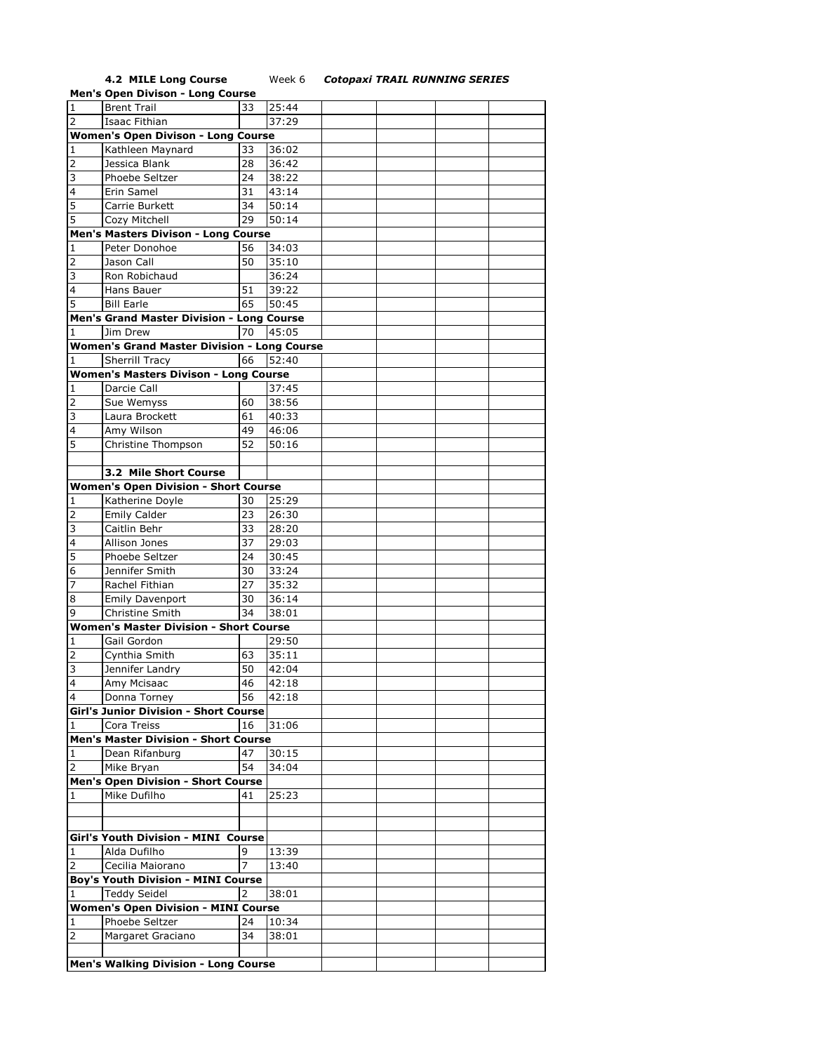## **4.2 MILE Long Course** Week 6 *Cotopaxi TRAIL RUNNING SERIES*

|                                        | <b>Men's Open Divison - Long Course</b>            |    |       |  |  |  |  |  |  |
|----------------------------------------|----------------------------------------------------|----|-------|--|--|--|--|--|--|
| $\mathbf{1}$                           | <b>Brent Trail</b>                                 | 33 | 25:44 |  |  |  |  |  |  |
| $\overline{2}$                         | Isaac Fithian                                      |    | 37:29 |  |  |  |  |  |  |
|                                        | <b>Women's Open Divison - Long Course</b>          |    |       |  |  |  |  |  |  |
|                                        |                                                    | 33 |       |  |  |  |  |  |  |
| $\mathbf{1}$                           | Kathleen Maynard                                   |    | 36:02 |  |  |  |  |  |  |
| $\overline{2}$                         | Jessica Blank                                      | 28 | 36:42 |  |  |  |  |  |  |
| 3                                      | Phoebe Seltzer                                     | 24 | 38:22 |  |  |  |  |  |  |
| $\overline{4}$                         | Erin Samel                                         | 31 | 43:14 |  |  |  |  |  |  |
| 5                                      | Carrie Burkett                                     | 34 | 50:14 |  |  |  |  |  |  |
| 5                                      | Cozy Mitchell                                      | 29 | 50:14 |  |  |  |  |  |  |
|                                        | Men's Masters Divison - Long Course                |    |       |  |  |  |  |  |  |
| 1                                      | Peter Donohoe                                      | 56 | 34:03 |  |  |  |  |  |  |
| $\overline{2}$                         | Jason Call                                         | 50 | 35:10 |  |  |  |  |  |  |
| 3                                      | Ron Robichaud                                      |    | 36:24 |  |  |  |  |  |  |
| $\overline{4}$                         | Hans Bauer                                         | 51 | 39:22 |  |  |  |  |  |  |
| 5                                      | <b>Bill Earle</b>                                  | 65 | 50:45 |  |  |  |  |  |  |
|                                        |                                                    |    |       |  |  |  |  |  |  |
|                                        | Men's Grand Master Division - Long Course          |    |       |  |  |  |  |  |  |
| 1                                      | Jim Drew                                           | 70 | 45:05 |  |  |  |  |  |  |
|                                        | <b>Women's Grand Master Division - Long Course</b> |    |       |  |  |  |  |  |  |
| 1                                      | Sherrill Tracy                                     | 66 | 52:40 |  |  |  |  |  |  |
|                                        | <b>Women's Masters Divison - Long Course</b>       |    |       |  |  |  |  |  |  |
| 1                                      | Darcie Call                                        |    | 37:45 |  |  |  |  |  |  |
| 2                                      | Sue Wemyss                                         | 60 | 38:56 |  |  |  |  |  |  |
| 3                                      | Laura Brockett                                     | 61 | 40:33 |  |  |  |  |  |  |
| 4                                      | Amy Wilson                                         | 49 | 46:06 |  |  |  |  |  |  |
| 5                                      | Christine Thompson                                 | 52 | 50:16 |  |  |  |  |  |  |
|                                        |                                                    |    |       |  |  |  |  |  |  |
|                                        | 3.2 Mile Short Course                              |    |       |  |  |  |  |  |  |
|                                        | <b>Women's Open Division - Short Course</b>        |    |       |  |  |  |  |  |  |
| 1                                      | Katherine Doyle                                    | 30 | 25:29 |  |  |  |  |  |  |
| $\overline{2}$                         | <b>Emily Calder</b>                                | 23 | 26:30 |  |  |  |  |  |  |
| 3                                      | Caitlin Behr                                       | 33 | 28:20 |  |  |  |  |  |  |
| $\overline{4}$                         |                                                    |    |       |  |  |  |  |  |  |
|                                        | Allison Jones                                      | 37 | 29:03 |  |  |  |  |  |  |
| 5                                      | Phoebe Seltzer                                     | 24 | 30:45 |  |  |  |  |  |  |
| 6                                      | Jennifer Smith                                     | 30 | 33:24 |  |  |  |  |  |  |
| 7                                      | Rachel Fithian                                     | 27 | 35:32 |  |  |  |  |  |  |
| 8                                      | <b>Emily Davenport</b>                             | 30 | 36:14 |  |  |  |  |  |  |
| 9                                      | Christine Smith                                    | 34 | 38:01 |  |  |  |  |  |  |
|                                        | <b>Women's Master Division - Short Course</b>      |    |       |  |  |  |  |  |  |
| 1                                      | Gail Gordon                                        |    | 29:50 |  |  |  |  |  |  |
| $\overline{2}$                         | Cynthia Smith                                      | 63 | 35:11 |  |  |  |  |  |  |
| 3                                      | Jennifer Landry                                    | 50 | 42:04 |  |  |  |  |  |  |
| $\overline{4}$                         | Amy Mcisaac                                        | 46 | 42:18 |  |  |  |  |  |  |
| 4                                      | Donna Torney                                       | 56 | 42:18 |  |  |  |  |  |  |
|                                        | <b>Girl's Junior Division - Short Course</b>       |    |       |  |  |  |  |  |  |
| 1                                      | Cora Treiss                                        | 16 | 31:06 |  |  |  |  |  |  |
|                                        | <b>Men's Master Division - Short Course</b>        |    |       |  |  |  |  |  |  |
| 1                                      | Dean Rifanburg                                     | 47 | 30:15 |  |  |  |  |  |  |
| 2                                      | Mike Bryan                                         | 54 | 34:04 |  |  |  |  |  |  |
|                                        | <b>Men's Open Division - Short Course</b>          |    |       |  |  |  |  |  |  |
|                                        |                                                    |    |       |  |  |  |  |  |  |
| 1                                      | Mike Dufilho                                       | 41 | 25:23 |  |  |  |  |  |  |
|                                        |                                                    |    |       |  |  |  |  |  |  |
|                                        |                                                    |    |       |  |  |  |  |  |  |
|                                        | <b>Girl's Youth Division - MINI Course</b>         |    |       |  |  |  |  |  |  |
| 1                                      | Alda Dufilho                                       | 9  | 13:39 |  |  |  |  |  |  |
| 2                                      | Cecilia Maiorano                                   | 7  | 13:40 |  |  |  |  |  |  |
|                                        | <b>Boy's Youth Division - MINI Course</b>          |    |       |  |  |  |  |  |  |
| <b>Teddy Seidel</b><br>2<br>38:01<br>1 |                                                    |    |       |  |  |  |  |  |  |
|                                        | <b>Women's Open Division - MINI Course</b>         |    |       |  |  |  |  |  |  |
| 1                                      | Phoebe Seltzer                                     | 24 | 10:34 |  |  |  |  |  |  |
| 2                                      | Margaret Graciano                                  | 34 | 38:01 |  |  |  |  |  |  |
|                                        |                                                    |    |       |  |  |  |  |  |  |
|                                        | <b>Men's Walking Division - Long Course</b>        |    |       |  |  |  |  |  |  |